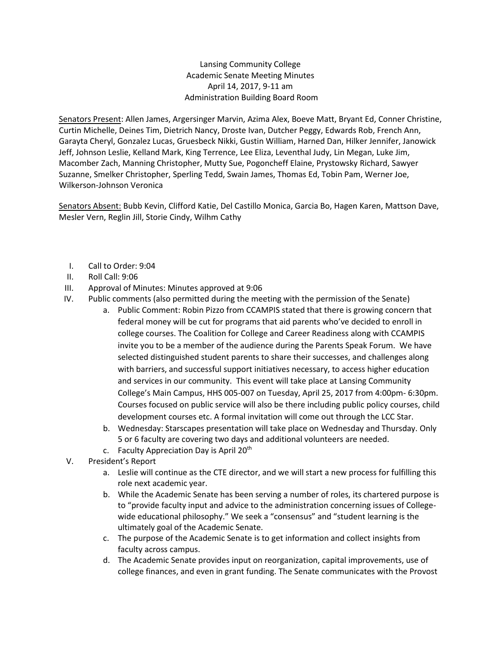Lansing Community College Academic Senate Meeting Minutes April 14, 2017, 9-11 am Administration Building Board Room

Senators Present: Allen James, Argersinger Marvin, Azima Alex, Boeve Matt, Bryant Ed, Conner Christine, Curtin Michelle, Deines Tim, Dietrich Nancy, Droste Ivan, Dutcher Peggy, Edwards Rob, French Ann, Garayta Cheryl, Gonzalez Lucas, Gruesbeck Nikki, Gustin William, Harned Dan, Hilker Jennifer, Janowick Jeff, Johnson Leslie, Kelland Mark, King Terrence, Lee Eliza, Leventhal Judy, Lin Megan, Luke Jim, Macomber Zach, Manning Christopher, Mutty Sue, Pogoncheff Elaine, Prystowsky Richard, Sawyer Suzanne, Smelker Christopher, Sperling Tedd, Swain James, Thomas Ed, Tobin Pam, Werner Joe, Wilkerson-Johnson Veronica

Senators Absent: Bubb Kevin, Clifford Katie, Del Castillo Monica, Garcia Bo, Hagen Karen, Mattson Dave, Mesler Vern, Reglin Jill, Storie Cindy, Wilhm Cathy

- I. Call to Order: 9:04
- II. Roll Call: 9:06
- III. Approval of Minutes: Minutes approved at 9:06
- IV. Public comments (also permitted during the meeting with the permission of the Senate)
	- a. Public Comment: Robin Pizzo from CCAMPIS stated that there is growing concern that federal money will be cut for programs that aid parents who've decided to enroll in college courses. The Coalition for College and Career Readiness along with CCAMPIS invite you to be a member of the audience during the Parents Speak Forum. We have selected distinguished student parents to share their successes, and challenges along with barriers, and successful support initiatives necessary, to access higher education and services in our community. This event will take place at Lansing Community College's Main Campus, HHS 005-007 on Tuesday, April 25, 2017 from 4:00pm- 6:30pm. Courses focused on public service will also be there including public policy courses, child development courses etc. A formal invitation will come out through the LCC Star.
	- b. Wednesday: Starscapes presentation will take place on Wednesday and Thursday. Only 5 or 6 faculty are covering two days and additional volunteers are needed.
	- c. Faculty Appreciation Day is April  $20<sup>th</sup>$
- V. President's Report
	- a. Leslie will continue as the CTE director, and we will start a new process for fulfilling this role next academic year.
	- b. While the Academic Senate has been serving a number of roles, its chartered purpose is to "provide faculty input and advice to the administration concerning issues of Collegewide educational philosophy." We seek a "consensus" and "student learning is the ultimately goal of the Academic Senate.
	- c. The purpose of the Academic Senate is to get information and collect insights from faculty across campus.
	- d. The Academic Senate provides input on reorganization, capital improvements, use of college finances, and even in grant funding. The Senate communicates with the Provost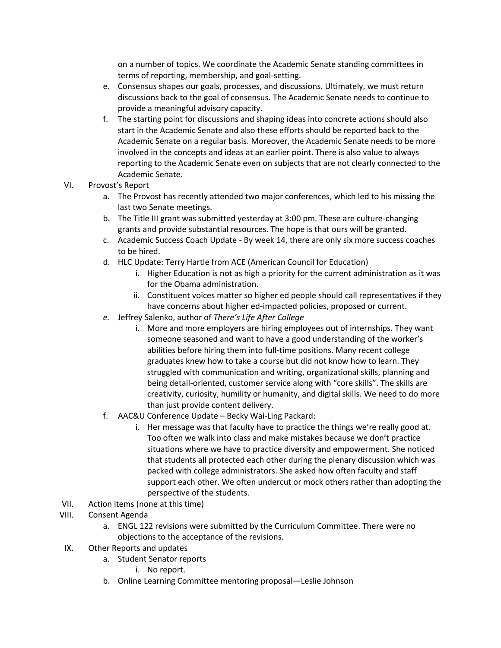on a number of topics. We coordinate the Academic Senate standing committees in terms of reporting, membership, and goal-setting.

- e. Consensus shapes our goals, processes, and discussions. Ultimately, we must return discussions back to the goal of consensus. The Academic Senate needs to continue to provide a meaningful advisory capacity.
- f. The starting point for discussions and shaping ideas into concrete actions should also start in the Academic Senate and also these efforts should be reported back to the Academic Senate on a regular basis. Moreover, the Academic Senate needs to be more involved in the concepts and ideas at an earlier point. There is also value to always reporting to the Academic Senate even on subjects that are not clearly connected to the Academic Senate.
- VI. Provost's Report
	- a. The Provost has recently attended two major conferences, which led to his missing the last two Senate meetings.
	- b. The Title III grant was submitted yesterday at 3:00 pm. These are culture-changing grants and provide substantial resources. The hope is that ours will be granted.
	- c. Academic Success Coach Update By week 14, there are only six more success coaches to be hired.
	- d. HLC Update: Terry Hartle from ACE (American Council for Education)
		- i. Higher Education is not as high a priority for the current administration as it was for the Obama administration.
		- ii. Constituent voices matter so higher ed people should call representatives if they have concerns about higher ed-impacted policies, proposed or current.
	- *e.* Jeffrey Salenko, author of *There's Life After College*
		- i. More and more employers are hiring employees out of internships. They want someone seasoned and want to have a good understanding of the worker's abilities before hiring them into full-time positions. Many recent college graduates knew how to take a course but did not know how to learn. They struggled with communication and writing, organizational skills, planning and being detail-oriented, customer service along with "core skills". The skills are creativity, curiosity, humility or humanity, and digital skills. We need to do more than just provide content delivery.
	- f. AAC&U Conference Update Becky Wai-Ling Packard:
		- i. Her message was that faculty have to practice the things we're really good at. Too often we walk into class and make mistakes because we don't practice situations where we have to practice diversity and empowerment. She noticed that students all protected each other during the plenary discussion which was packed with college administrators. She asked how often faculty and staff support each other. We often undercut or mock others rather than adopting the perspective of the students.
- VII. Action items (none at this time)
- VIII. Consent Agenda
	- a. ENGL 122 revisions were submitted by the Curriculum Committee. There were no objections to the acceptance of the revisions.
- IX. Other Reports and updates
	- a. Student Senator reports
		- i. No report.
	- b. Online Learning Committee mentoring proposal—Leslie Johnson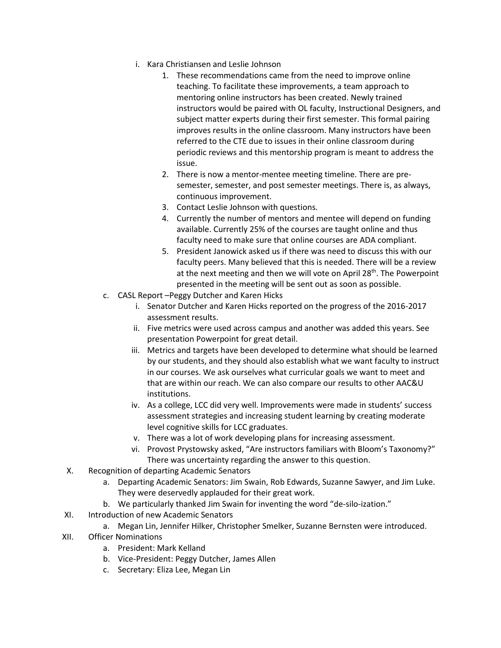- i. Kara Christiansen and Leslie Johnson
	- 1. These recommendations came from the need to improve online teaching. To facilitate these improvements, a team approach to mentoring online instructors has been created. Newly trained instructors would be paired with OL faculty, Instructional Designers, and subject matter experts during their first semester. This formal pairing improves results in the online classroom. Many instructors have been referred to the CTE due to issues in their online classroom during periodic reviews and this mentorship program is meant to address the issue.
	- 2. There is now a mentor-mentee meeting timeline. There are presemester, semester, and post semester meetings. There is, as always, continuous improvement.
	- 3. Contact Leslie Johnson with questions.
	- 4. Currently the number of mentors and mentee will depend on funding available. Currently 25% of the courses are taught online and thus faculty need to make sure that online courses are ADA compliant.
	- 5. President Janowick asked us if there was need to discuss this with our faculty peers. Many believed that this is needed. There will be a review at the next meeting and then we will vote on April 28<sup>th</sup>. The Powerpoint presented in the meeting will be sent out as soon as possible.
- c. CASL Report –Peggy Dutcher and Karen Hicks
	- i. Senator Dutcher and Karen Hicks reported on the progress of the 2016-2017 assessment results.
	- ii. Five metrics were used across campus and another was added this years. See presentation Powerpoint for great detail.
	- iii. Metrics and targets have been developed to determine what should be learned by our students, and they should also establish what we want faculty to instruct in our courses. We ask ourselves what curricular goals we want to meet and that are within our reach. We can also compare our results to other AAC&U institutions.
	- iv. As a college, LCC did very well. Improvements were made in students' success assessment strategies and increasing student learning by creating moderate level cognitive skills for LCC graduates.
	- v. There was a lot of work developing plans for increasing assessment.
	- vi. Provost Prystowsky asked, "Are instructors familiars with Bloom's Taxonomy?" There was uncertainty regarding the answer to this question.
- X. Recognition of departing Academic Senators
	- a. Departing Academic Senators: Jim Swain, Rob Edwards, Suzanne Sawyer, and Jim Luke. They were deservedly applauded for their great work.
	- b. We particularly thanked Jim Swain for inventing the word "de-silo-ization."
- XI. Introduction of new Academic Senators
	- a. Megan Lin, Jennifer Hilker, Christopher Smelker, Suzanne Bernsten were introduced.
- XII. Officer Nominations
	- a. President: Mark Kelland
	- b. Vice-President: Peggy Dutcher, James Allen
	- c. Secretary: Eliza Lee, Megan Lin